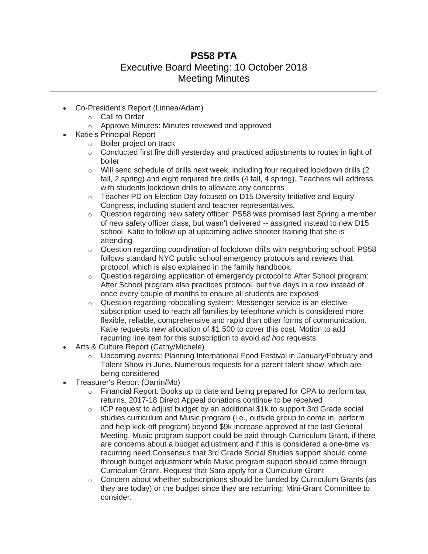## **PS58 PTA** Executive Board Meeting: 10 October 2018 Meeting Minutes

- Co-President's Report (Linnea/Adam)
	- o Call to Order
	- o Approve Minutes: Minutes reviewed and approved
	- Katie's Principal Report
		- o Boiler project on track
		- $\circ$  Conducted first fire drill yesterday and practiced adjustments to routes in light of boiler
		- $\circ$  Will send schedule of drills next week, including four required lockdown drills (2) fall, 2 spring) and eight required fire drills (4 fall, 4 spring). Teachers will address with students lockdown drills to alleviate any concerns
		- $\circ$  Teacher PD on Election Day focused on D15 Diversity Initiative and Equity Congress, including student and teacher representatives.
		- $\circ$  Question regarding new safety officer: PS58 was promised last Spring a member of new safety officer class, but wasn't delivered -- assigned instead to new D15 school. Katie to follow-up at upcoming active shooter training that she is attending
		- $\circ$  Question regarding coordination of lockdown drills with neighboring school: PS58 follows standard NYC public school emergency protocols and reviews that protocol, which is also explained in the family handbook.
		- o Question regarding application of emergency protocol to After School program: After School program also practices protocol, but five days in a row instead of once every couple of months to ensure all students are exposed
		- o Question regarding robocalling system: Messenger service is an elective subscription used to reach all families by telephone which is considered more flexible, reliable, comprehensive and rapid than other forms of communication. Katie requests new allocation of \$1,500 to cover this cost. Motion to add recurring line item for this subscription to avoid *ad hoc* requests
- Arts & Culture Report (Cathy/Michele)
	- $\circ$  Upcoming events: Planning International Food Festival in January/February and Talent Show in June. Numerous requests for a parent talent show, which are being considered
- Treasurer's Report (Darrin/Mo)
	- $\circ$  Financial Report: Books up to date and being prepared for CPA to perform tax returns. 2017-18 Direct Appeal donations continue to be received
	- $\circ$  ICP request to adjust budget by an additional \$1k to support 3rd Grade social studies curriculum and Music program (i.e., outside group to come in, perform and help kick-off program) beyond \$9k increase approved at the last General Meeting. Music program support could be paid through Curriculum Grant, if there are concerns about a budget adjustment and if this is considered a one-time vs. recurring need.Consensus that 3rd Grade Social Studies support should come through budget adjustment while Music program support should come through Curriculum Grant. Request that Sara apply for a Curriculum Grant
	- $\circ$  Concern about whether subscriptions should be funded by Curriculum Grants (as they are today) or the budget since they are recurring: Mini-Grant Committee to consider.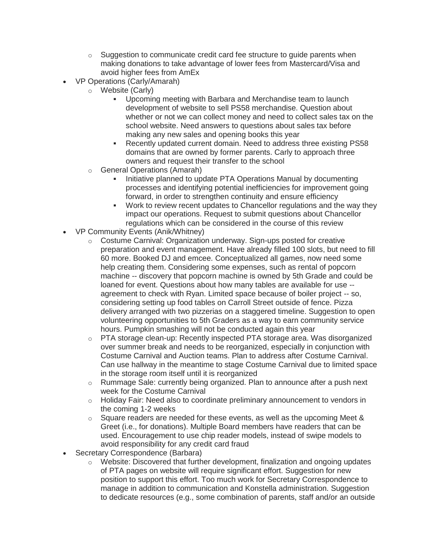- $\circ$  Suggestion to communicate credit card fee structure to guide parents when making donations to take advantage of lower fees from Mastercard/Visa and avoid higher fees from AmEx
- VP Operations (Carly/Amarah)
	- o Website (Carly)
		- Upcoming meeting with Barbara and Merchandise team to launch development of website to sell PS58 merchandise. Question about whether or not we can collect money and need to collect sales tax on the school website. Need answers to questions about sales tax before making any new sales and opening books this year
		- Recently updated current domain. Need to address three existing PS58 domains that are owned by former parents. Carly to approach three owners and request their transfer to the school
	- o General Operations (Amarah)
		- Initiative planned to update PTA Operations Manual by documenting processes and identifying potential inefficiencies for improvement going forward, in order to strengthen continuity and ensure efficiency
		- Work to review recent updates to Chancellor regulations and the way they impact our operations. Request to submit questions about Chancellor regulations which can be considered in the course of this review
- VP Community Events (Anik/Whitney)
	- o Costume Carnival: Organization underway. Sign-ups posted for creative preparation and event management. Have already filled 100 slots, but need to fill 60 more. Booked DJ and emcee. Conceptualized all games, now need some help creating them. Considering some expenses, such as rental of popcorn machine -- discovery that popcorn machine is owned by 5th Grade and could be loaned for event. Questions about how many tables are available for use - agreement to check with Ryan. Limited space because of boiler project -- so, considering setting up food tables on Carroll Street outside of fence. Pizza delivery arranged with two pizzerias on a staggered timeline. Suggestion to open volunteering opportunities to 5th Graders as a way to earn community service hours. Pumpkin smashing will not be conducted again this year
	- o PTA storage clean-up: Recently inspected PTA storage area. Was disorganized over summer break and needs to be reorganized, especially in conjunction with Costume Carnival and Auction teams. Plan to address after Costume Carnival. Can use hallway in the meantime to stage Costume Carnival due to limited space in the storage room itself until it is reorganized
	- $\circ$  Rummage Sale: currently being organized. Plan to announce after a push next week for the Costume Carnival
	- o Holiday Fair: Need also to coordinate preliminary announcement to vendors in the coming 1-2 weeks
	- $\circ$  Square readers are needed for these events, as well as the upcoming Meet & Greet (i.e., for donations). Multiple Board members have readers that can be used. Encouragement to use chip reader models, instead of swipe models to avoid responsibility for any credit card fraud
- Secretary Correspondence (Barbara)
	- o Website: Discovered that further development, finalization and ongoing updates of PTA pages on website will require significant effort. Suggestion for new position to support this effort. Too much work for Secretary Correspondence to manage in addition to communication and Konstella administration. Suggestion to dedicate resources (e.g., some combination of parents, staff and/or an outside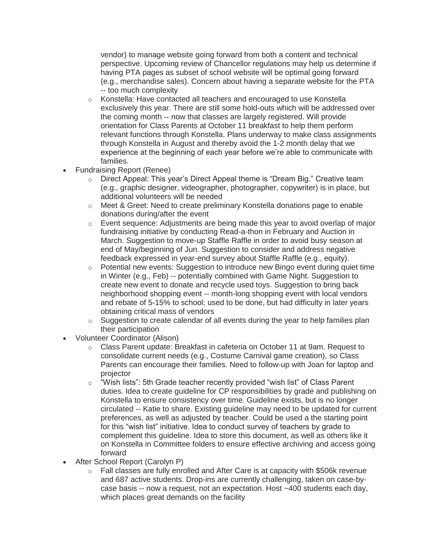vendor) to manage website going forward from both a content and technical perspective. Upcoming review of Chancellor regulations may help us determine if having PTA pages as subset of school website will be optimal going forward (e.g., merchandise sales). Concern about having a separate website for the PTA -- too much complexity

- o Konstella: Have contacted all teachers and encouraged to use Konstella exclusively this year. There are still some hold-outs which will be addressed over the coming month -- now that classes are largely registered. Will provide orientation for Class Parents at October 11 breakfast to help them perform relevant functions through Konstella. Plans underway to make class assignments through Konstella in August and thereby avoid the 1-2 month delay that we experience at the beginning of each year before we're able to communicate with families.
- Fundraising Report (Renee)
	- o Direct Appeal: This year's Direct Appeal theme is "Dream Big." Creative team (e.g., graphic designer, videographer, photographer, copywriter) is in place, but additional volunteers will be needed
	- o Meet & Greet: Need to create preliminary Konstella donations page to enable donations during/after the event
	- o Event sequence: Adjustments are being made this year to avoid overlap of major fundraising initiative by conducting Read-a-thon in February and Auction in March. Suggestion to move-up Staffle Raffle in order to avoid busy season at end of May/beginning of Jun. Suggestion to consider and address negative feedback expressed in year-end survey about Staffle Raffle (e.g., equity).
	- o Potential new events: Suggestion to introduce new Bingo event during quiet time in Winter (e.g., Feb) -- potentially combined with Game Night. Suggestion to create new event to donate and recycle used toys. Suggestion to bring back neighborhood shopping event -- month-long shopping event with local vendors and rebate of 5-15% to school; used to be done, but had difficulty in later years obtaining critical mass of vendors
	- $\circ$  Suggestion to create calendar of all events during the year to help families plan their participation
- Volunteer Coordinator (Alison)
	- o Class Parent update: Breakfast in cafeteria on October 11 at 9am. Request to consolidate current needs (e.g., Costume Carnival game creation), so Class Parents can encourage their families. Need to follow-up with Joan for laptop and projector
	- o "Wish lists": 5th Grade teacher recently provided "wish list" of Class Parent duties. Idea to create guideline for CP responsibilities by grade and publishing on Konstella to ensure consistency over time. Guideline exists, but is no longer circulated -- Katie to share. Existing guideline may need to be updated for current preferences, as well as adjusted by teacher. Could be used a the starting point for this "wish list" initiative. Idea to conduct survey of teachers by grade to complement this guideline. Idea to store this document, as well as others like it on Konstella in Committee folders to ensure effective archiving and access going forward
- After School Report (Carolyn P)
	- o Fall classes are fully enrolled and After Care is at capacity with \$506k revenue and 687 active students. Drop-ins are currently challenging, taken on case-bycase basis -- now a request, not an expectation. Host ~400 students each day, which places great demands on the facility